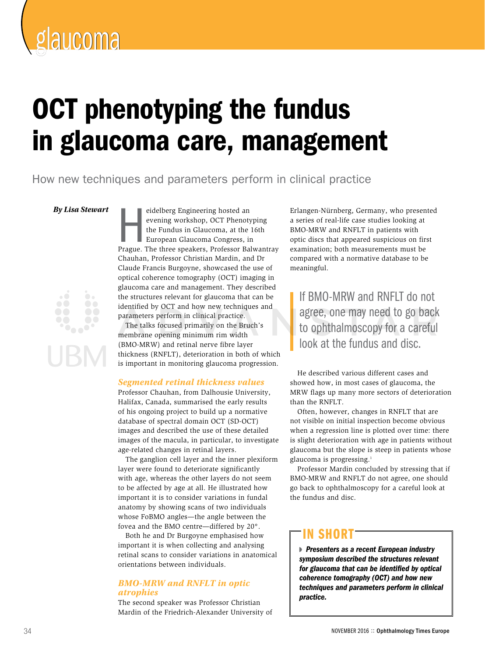

# OCT phenotyping the fundus in glaucoma care, management

How new techniques and parameters perform in clinical practice

*By Lisa Stewart*

eidelberg Engineering hosted an<br>evening workshop, OCT Phenotyping<br>the Fundus in Glaucoma, at the 16th<br>European Glaucoma Congress, in<br>Prague. The three speakers, Professor Balwantray eidelberg Engineering hosted an evening workshop, OCT Phenotyping the Fundus in Glaucoma, at the 16th European Glaucoma Congress, in Chauhan, Professor Christian Mardin, and Dr Claude Francis Burgoyne, showcased the use of optical coherence tomography (OCT) imaging in glaucoma care and management. They described the structures relevant for glaucoma that can be identified by OCT and how new techniques and parameters perform in clinical practice.

The talks focused primarily on the Bruch's membrane opening minimum rim width (BMO-MRW) and retinal nerve fibre layer thickness (RNFLT), deterioration in both of which is important in monitoring glaucoma progression.

# *Segmented retinal thickness values*

Professor Chauhan, from Dalhousie University, Halifax, Canada, summarised the early results of his ongoing project to build up a normative database of spectral domain OCT (SD-OCT) images and described the use of these detailed images of the macula, in particular, to investigate age-related changes in retinal layers.

The ganglion cell layer and the inner plexiform layer were found to deteriorate significantly with age, whereas the other layers do not seem to be affected by age at all. He illustrated how important it is to consider variations in fundal anatomy by showing scans of two individuals whose FoBMO angles—the angle between the fovea and the BMO centre—differed by 20°.

Both he and Dr Burgoyne emphasised how important it is when collecting and analysing retinal scans to consider variations in anatomical orientations between individuals.

# *BMO-MRW and RNFLT in optic atrophies*

The second speaker was Professor Christian Mardin of the Friedrich-Alexander University of Erlangen-Nürnberg, Germany, who presented a series of real-life case studies looking at BMO-MRW and RNFLT in patients with optic discs that appeared suspicious on first examination; both measurements must be compared with a normative database to be meaningful.

If BMO-MRW and RNFLT do not agree, one may need to go back to ophthalmoscopy for a careful look at the fundus and disc.

He described various different cases and showed how, in most cases of glaucoma, the MRW flags up many more sectors of deterioration than the RNFLT.

Often, however, changes in RNFLT that are not visible on initial inspection become obvious when a regression line is plotted over time: there is slight deterioration with age in patients without glaucoma but the slope is steep in patients whose glaucoma is progressing.1

Professor Mardin concluded by stressing that if BMO-MRW and RNFLT do not agree, one should go back to ophthalmoscopy for a careful look at the fundus and disc.

# in short

 *Presenters as a recent European industry symposium described the structures relevant for glaucoma that can be identified by optical coherence tomography (OCT) and how new techniques and parameters perform in clinical practice.*